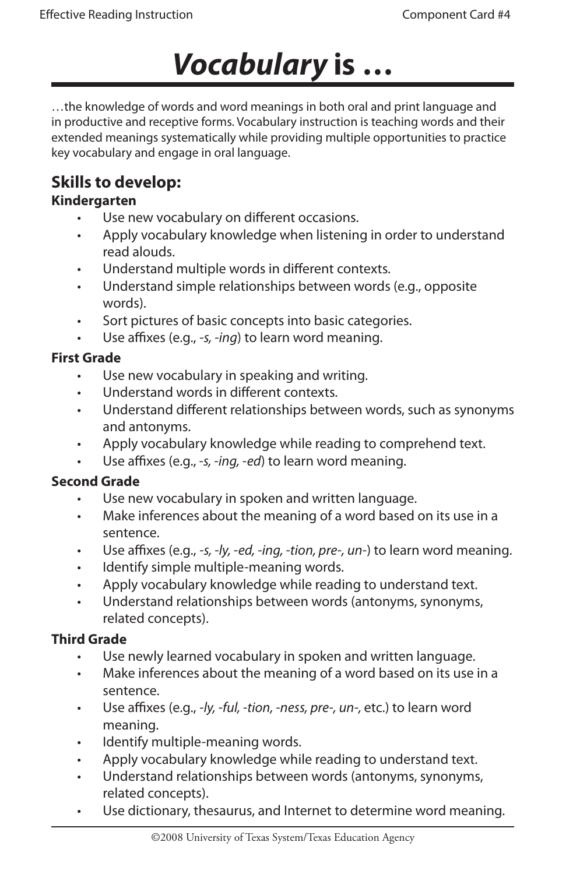# *Vocabulary* **is …**

…the knowledge of words and word meanings in both oral and print language and in productive and receptive forms. Vocabulary instruction is teaching words and their extended meanings systematically while providing multiple opportunities to practice key vocabulary and engage in oral language.

### **Skills to develop:**

#### **Kindergarten**

- Use new vocabulary on different occasions. •
- Apply vocabulary knowledge when listening in order to understand read alouds. •
- Understand multiple words in different contexts. •
- Understand simple relationships between words (e.g., opposite words). •
- Sort pictures of basic concepts into basic categories. •
- Use affixes (e.g., *-s, -ing*) to learn word meaning. •

#### **First Grade**

- Use new vocabulary in speaking and writing. •
- Understand words in different contexts. •
- Understand different relationships between words, such as synonyms and antonyms. •
- Apply vocabulary knowledge while reading to comprehend text. •
- Use affixes (e.g., *-s, -ing, -ed*) to learn word meaning. •

#### **Second Grade**

- Use new vocabulary in spoken and written language. •
- Make inferences about the meaning of a word based on its use in a sentence. •
- Use affixes (e.g., *-s, -ly, -ed, -ing, -tion, pre-, un-*) to learn word meaning. •
- Identify simple multiple-meaning words. •
- Apply vocabulary knowledge while reading to understand text. •
- Understand relationships between words (antonyms, synonyms, related concepts). •

#### **Third Grade**

- Use newly learned vocabulary in spoken and written language. •
- Make inferences about the meaning of a word based on its use in a sentence. •
- Use affixes (e.g., *-ly, -ful, -tion, -ness, pre-, un-,* etc.) to learn word meaning. •
- Identify multiple-meaning words. •
- Apply vocabulary knowledge while reading to understand text. •
- Understand relationships between words (antonyms, synonyms, related concepts). •
- Use dictionary, thesaurus, and Internet to determine word meaning. •